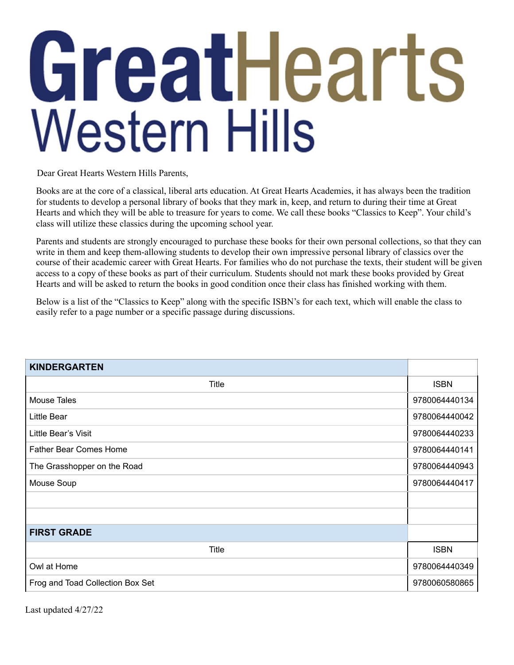## GreatHearts **Western Hills**

Dear Great Hearts Western Hills Parents,

Books are at the core of a classical, liberal arts education. At Great Hearts Academies, it has always been the tradition for students to develop a personal library of books that they mark in, keep, and return to during their time at Great Hearts and which they will be able to treasure for years to come. We call these books "Classics to Keep". Your child's class will utilize these classics during the upcoming school year.

Parents and students are strongly encouraged to purchase these books for their own personal collections, so that they can write in them and keep them-allowing students to develop their own impressive personal library of classics over the course of their academic career with Great Hearts. For families who do not purchase the texts, their student will be given access to a copy of these books as part of their curriculum. Students should not mark these books provided by Great Hearts and will be asked to return the books in good condition once their class has finished working with them.

Below is a list of the "Classics to Keep" along with the specific ISBN's for each text, which will enable the class to easily refer to a page number or a specific passage during discussions.

| <b>KINDERGARTEN</b>              |               |
|----------------------------------|---------------|
| <b>Title</b>                     | <b>ISBN</b>   |
| <b>Mouse Tales</b>               | 9780064440134 |
| Little Bear                      | 9780064440042 |
| Little Bear's Visit              | 9780064440233 |
| <b>Father Bear Comes Home</b>    | 9780064440141 |
| The Grasshopper on the Road      | 9780064440943 |
| Mouse Soup                       | 9780064440417 |
|                                  |               |
|                                  |               |
| <b>FIRST GRADE</b>               |               |
| Title                            | <b>ISBN</b>   |
| Owl at Home                      | 9780064440349 |
| Frog and Toad Collection Box Set | 9780060580865 |

Last updated 4/27/22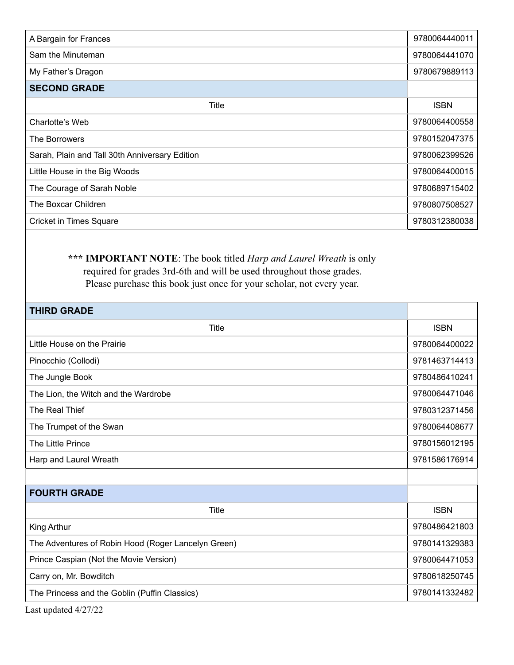| A Bargain for Frances                          | 9780064440011 |
|------------------------------------------------|---------------|
| Sam the Minuteman                              | 9780064441070 |
| My Father's Dragon                             | 9780679889113 |
| <b>SECOND GRADE</b>                            |               |
| Title                                          | <b>ISBN</b>   |
| Charlotte's Web                                | 9780064400558 |
| The Borrowers                                  | 9780152047375 |
| Sarah, Plain and Tall 30th Anniversary Edition | 9780062399526 |
| Little House in the Big Woods                  | 9780064400015 |
| The Courage of Sarah Noble                     | 9780689715402 |
| The Boxcar Children                            | 9780807508527 |
| <b>Cricket in Times Square</b>                 | 9780312380038 |

## **\*\*\* IMPORTANT NOTE**: The book titled *Harp and Laurel Wreath* is only required for grades 3rd-6th and will be used throughout those grades. Please purchase this book just once for your scholar, not every year.

| <b>THIRD GRADE</b>                                  |               |
|-----------------------------------------------------|---------------|
| Title                                               | <b>ISBN</b>   |
| Little House on the Prairie                         | 9780064400022 |
| Pinocchio (Collodi)                                 | 9781463714413 |
| The Jungle Book                                     | 9780486410241 |
| The Lion, the Witch and the Wardrobe                | 9780064471046 |
| The Real Thief                                      | 9780312371456 |
| The Trumpet of the Swan                             | 9780064408677 |
| The Little Prince                                   | 9780156012195 |
| Harp and Laurel Wreath                              | 9781586176914 |
|                                                     |               |
| <b>FOURTH GRADE</b>                                 |               |
| <b>Title</b>                                        | <b>ISBN</b>   |
| King Arthur                                         | 9780486421803 |
| The Adventures of Robin Hood (Roger Lancelyn Green) | 9780141329383 |
| Prince Caspian (Not the Movie Version)              | 9780064471053 |
| Carry on, Mr. Bowditch                              | 9780618250745 |
| The Princess and the Goblin (Puffin Classics)       | 9780141332482 |

Last updated 4/27/22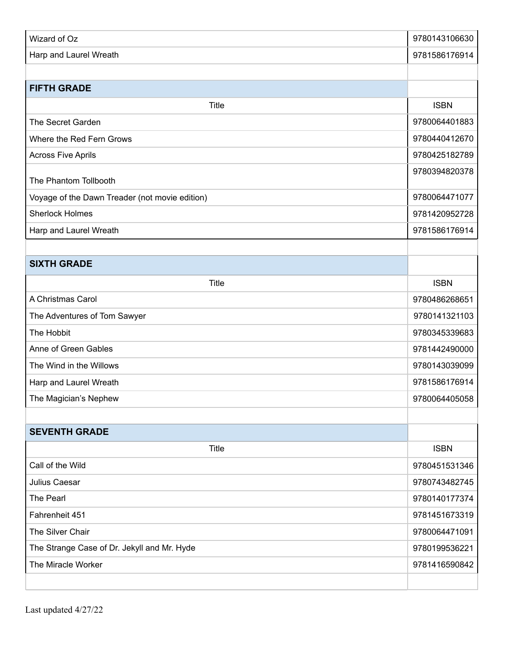| Wizard of Oz                                   | 9780143106630 |
|------------------------------------------------|---------------|
| Harp and Laurel Wreath                         | 9781586176914 |
|                                                |               |
| <b>FIFTH GRADE</b>                             |               |
| Title                                          | <b>ISBN</b>   |
| The Secret Garden                              | 9780064401883 |
| Where the Red Fern Grows                       | 9780440412670 |
| <b>Across Five Aprils</b>                      | 9780425182789 |
| The Phantom Tollbooth                          | 9780394820378 |
| Voyage of the Dawn Treader (not movie edition) | 9780064471077 |
| <b>Sherlock Holmes</b>                         | 9781420952728 |
| Harp and Laurel Wreath                         | 9781586176914 |
|                                                |               |
| <b>SIXTH GRADE</b>                             |               |
| <b>Title</b>                                   | <b>ISBN</b>   |
| A Christmas Carol                              | 9780486268651 |
| The Adventures of Tom Sawyer                   | 9780141321103 |
| The Hobbit                                     | 9780345339683 |
| Anne of Green Gables                           | 9781442490000 |
| The Wind in the Willows                        | 9780143039099 |
| Harp and Laurel Wreath                         | 9781586176914 |
| The Magician's Nephew                          | 9780064405058 |
|                                                |               |
| <b>SEVENTH GRADE</b>                           |               |
| <b>Title</b>                                   | <b>ISBN</b>   |
| Call of the Wild                               | 9780451531346 |
| Julius Caesar                                  | 9780743482745 |
| The Pearl                                      | 9780140177374 |
| Fahrenheit 451                                 | 9781451673319 |
| The Silver Chair                               | 9780064471091 |
| The Strange Case of Dr. Jekyll and Mr. Hyde    | 9780199536221 |
| The Miracle Worker                             | 9781416590842 |
|                                                |               |